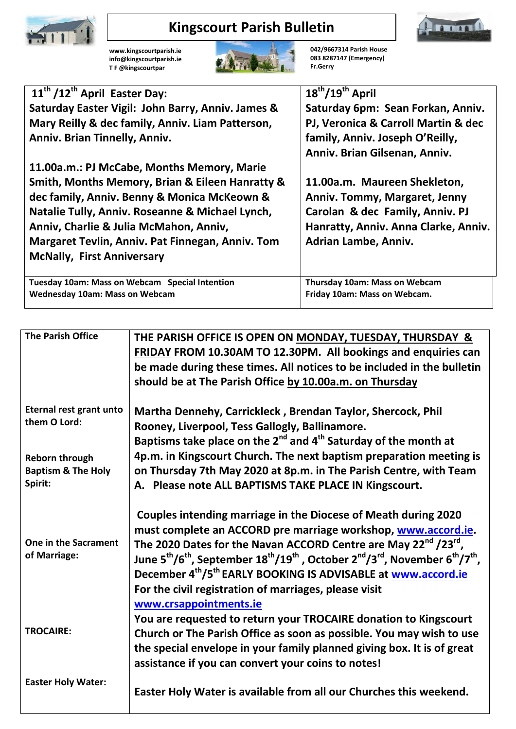

**[www.kingscourtparish.ie](http://www.kingscourtparish.ie/) info@kingscourtparish.ie T F @kingscourtpar** 

## **Kingscourt Parish Bulletin**



**Fr.Gerry**

**083 8287147 (Emergency)**

mm

| 11 <sup>th</sup> /12 <sup>th</sup> April Easter Day: | $18^{th}/19^{th}$ April              |
|------------------------------------------------------|--------------------------------------|
| Saturday Easter Vigil: John Barry, Anniv. James &    | Saturday 6pm: Sean Forkan, Anniv.    |
| Mary Reilly & dec family, Anniv. Liam Patterson,     | PJ, Veronica & Carroll Martin & dec  |
| <b>Anniv. Brian Tinnelly, Anniv.</b>                 | family, Anniv. Joseph O'Reilly,      |
|                                                      | Anniv. Brian Gilsenan, Anniv.        |
| 11.00a.m.: PJ McCabe, Months Memory, Marie           |                                      |
| Smith, Months Memory, Brian & Eileen Hanratty &      | 11.00a.m. Maureen Shekleton,         |
| dec family, Anniv. Benny & Monica McKeown &          | Anniv. Tommy, Margaret, Jenny        |
| Natalie Tully, Anniv. Roseanne & Michael Lynch,      | Carolan & dec Family, Anniv. PJ      |
| Anniv, Charlie & Julia McMahon, Anniv,               | Hanratty, Anniv. Anna Clarke, Anniv. |
| Margaret Tevlin, Anniv. Pat Finnegan, Anniv. Tom     | Adrian Lambe, Anniv.                 |
| <b>McNally, First Anniversary</b>                    |                                      |
|                                                      |                                      |
| Tuesday 10am: Mass on Webcam Special Intention       | <b>Thursday 10am: Mass on Webcam</b> |
| <b>Wednesday 10am: Mass on Webcam</b>                | Friday 10am: Mass on Webcam.         |

| <b>The Parish Office</b>                                          | THE PARISH OFFICE IS OPEN ON MONDAY, TUESDAY, THURSDAY &<br><b>FRIDAY FROM 10.30AM TO 12.30PM. All bookings and enquiries can</b><br>be made during these times. All notices to be included in the bulletin                                                                                                                                                                                                                                                                                                                                                     |
|-------------------------------------------------------------------|-----------------------------------------------------------------------------------------------------------------------------------------------------------------------------------------------------------------------------------------------------------------------------------------------------------------------------------------------------------------------------------------------------------------------------------------------------------------------------------------------------------------------------------------------------------------|
|                                                                   | should be at The Parish Office by 10.00a.m. on Thursday                                                                                                                                                                                                                                                                                                                                                                                                                                                                                                         |
| <b>Eternal rest grant unto</b><br>them O Lord:                    | Martha Dennehy, Carrickleck, Brendan Taylor, Shercock, Phil<br>Rooney, Liverpool, Tess Gallogly, Ballinamore.<br>Baptisms take place on the $2^{nd}$ and $4^{th}$ Saturday of the month at                                                                                                                                                                                                                                                                                                                                                                      |
| <b>Reborn through</b><br><b>Baptism &amp; The Holy</b><br>Spirit: | 4p.m. in Kingscourt Church. The next baptism preparation meeting is<br>on Thursday 7th May 2020 at 8p.m. in The Parish Centre, with Team<br>A. Please note ALL BAPTISMS TAKE PLACE IN Kingscourt.                                                                                                                                                                                                                                                                                                                                                               |
| One in the Sacrament<br>of Marriage:                              | Couples intending marriage in the Diocese of Meath during 2020<br>must complete an ACCORD pre marriage workshop, www.accord.ie.<br>The 2020 Dates for the Navan ACCORD Centre are May 22 $^{\text{nd}}$ /23 $^{\text{rd}}$ ,<br>June 5 <sup>th</sup> /6 <sup>th</sup> , September 18 <sup>th</sup> /19 <sup>th</sup> , October 2 <sup>nd</sup> /3 <sup>rd</sup> , November 6 <sup>th</sup> /7 <sup>th</sup> ,<br>December 4 <sup>th</sup> /5 <sup>th</sup> EARLY BOOKING IS ADVISABLE at www.accord.ie<br>For the civil registration of marriages, please visit |
| <b>TROCAIRE:</b>                                                  | www.crsappointments.ie<br>You are requested to return your TROCAIRE donation to Kingscourt<br>Church or The Parish Office as soon as possible. You may wish to use<br>the special envelope in your family planned giving box. It is of great<br>assistance if you can convert your coins to notes!                                                                                                                                                                                                                                                              |
| <b>Easter Holy Water:</b>                                         | Easter Holy Water is available from all our Churches this weekend.                                                                                                                                                                                                                                                                                                                                                                                                                                                                                              |